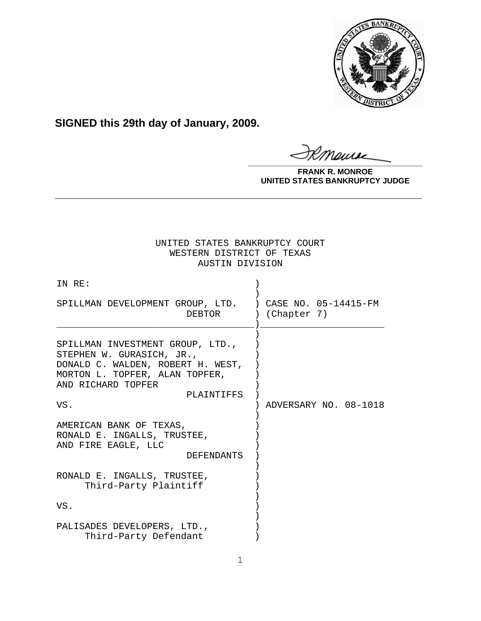

**SIGNED this 29th day of January, 2009.**

monse **\_\_\_\_\_\_\_\_\_\_\_\_\_\_\_\_\_\_\_\_\_\_\_\_\_\_\_\_\_\_\_\_\_\_\_\_\_\_\_\_**

**FRANK R. MONROE UNITED STATES BANKRUPTCY JUDGE**

# UNITED STATES BANKRUPTCY COURT WESTERN DISTRICT OF TEXAS AUSTIN DIVISION

**\_\_\_\_\_\_\_\_\_\_\_\_\_\_\_\_\_\_\_\_\_\_\_\_\_\_\_\_\_\_\_\_\_\_\_\_\_\_\_\_\_\_\_\_\_\_\_\_\_\_\_\_\_\_\_\_\_\_\_\_**

| IN RE:                                                                                                                                                                          |                       |
|---------------------------------------------------------------------------------------------------------------------------------------------------------------------------------|-----------------------|
| SPILLMAN DEVELOPMENT GROUP, LTD. ) CASE NO. 05-14415-FM<br>DEBTOR                                                                                                               | ) (Chapter 7)         |
| SPILLMAN INVESTMENT GROUP, LTD.,<br>STEPHEN W. GURASICH, JR.,<br>DONALD C. WALDEN, ROBERT H. WEST,<br>MORTON L. TOPFER, ALAN TOPFER,<br>AND RICHARD TOPFER<br>PLAINTIFFS<br>VS. | ADVERSARY NO. 08-1018 |
| AMERICAN BANK OF TEXAS,<br>RONALD E. INGALLS, TRUSTEE,<br>AND FIRE EAGLE, LLC<br><b>DEFENDANTS</b>                                                                              |                       |
| RONALD E. INGALLS, TRUSTEE,<br>Third-Party Plaintiff                                                                                                                            |                       |
| VS.                                                                                                                                                                             |                       |
| PALISADES DEVELOPERS, LTD.,<br>Third-Party Defendant                                                                                                                            |                       |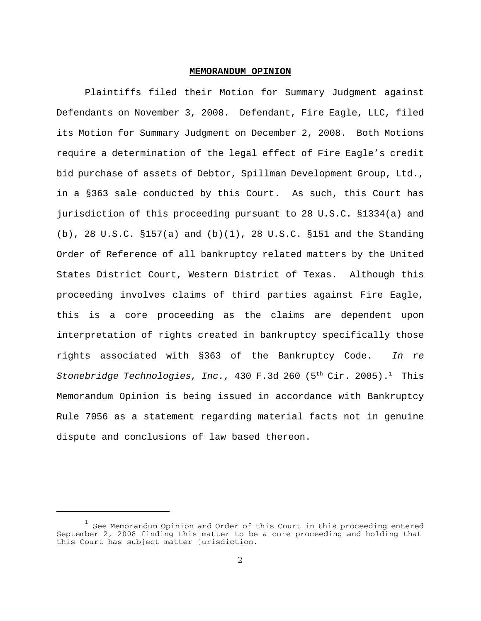#### **MEMORANDUM OPINION**

Plaintiffs filed their Motion for Summary Judgment against Defendants on November 3, 2008. Defendant, Fire Eagle, LLC, filed its Motion for Summary Judgment on December 2, 2008. Both Motions require a determination of the legal effect of Fire Eagle's credit bid purchase of assets of Debtor, Spillman Development Group, Ltd., in a §363 sale conducted by this Court. As such, this Court has jurisdiction of this proceeding pursuant to 28 U.S.C. §1334(a) and (b), 28 U.S.C. §157(a) and (b)(1), 28 U.S.C. §151 and the Standing Order of Reference of all bankruptcy related matters by the United States District Court, Western District of Texas. Although this proceeding involves claims of third parties against Fire Eagle, this is a core proceeding as the claims are dependent upon interpretation of rights created in bankruptcy specifically those rights associated with §363 of the Bankruptcy Code. *In re Stonebridge Technologies, Inc.,* 430 F.3d 260 (5<sup>th</sup> Cir. 2005).<sup>1</sup> This Memorandum Opinion is being issued in accordance with Bankruptcy Rule 7056 as a statement regarding material facts not in genuine dispute and conclusions of law based thereon.

 $1$  See Memorandum Opinion and Order of this Court in this proceeding entered September 2, 2008 finding this matter to be a core proceeding and holding that this Court has subject matter jurisdiction.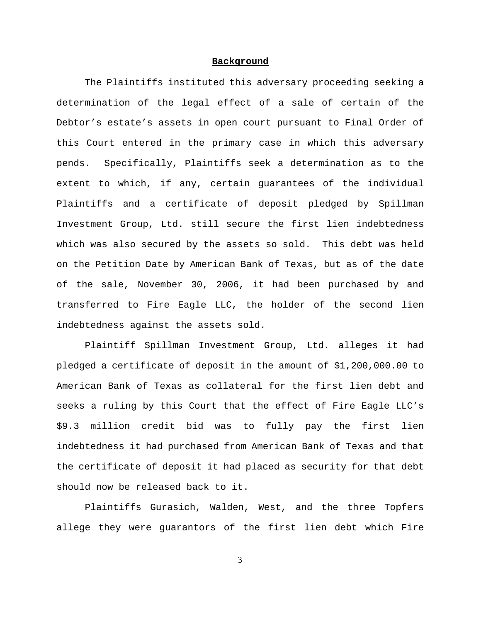#### **Background**

The Plaintiffs instituted this adversary proceeding seeking a determination of the legal effect of a sale of certain of the Debtor's estate's assets in open court pursuant to Final Order of this Court entered in the primary case in which this adversary pends. Specifically, Plaintiffs seek a determination as to the extent to which, if any, certain guarantees of the individual Plaintiffs and a certificate of deposit pledged by Spillman Investment Group, Ltd. still secure the first lien indebtedness which was also secured by the assets so sold. This debt was held on the Petition Date by American Bank of Texas, but as of the date of the sale, November 30, 2006, it had been purchased by and transferred to Fire Eagle LLC, the holder of the second lien indebtedness against the assets sold.

Plaintiff Spillman Investment Group, Ltd. alleges it had pledged a certificate of deposit in the amount of \$1,200,000.00 to American Bank of Texas as collateral for the first lien debt and seeks a ruling by this Court that the effect of Fire Eagle LLC's \$9.3 million credit bid was to fully pay the first lien indebtedness it had purchased from American Bank of Texas and that the certificate of deposit it had placed as security for that debt should now be released back to it.

Plaintiffs Gurasich, Walden, West, and the three Topfers allege they were guarantors of the first lien debt which Fire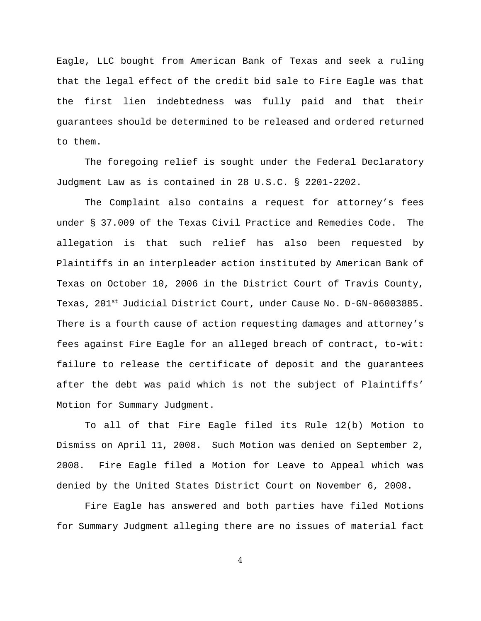Eagle, LLC bought from American Bank of Texas and seek a ruling that the legal effect of the credit bid sale to Fire Eagle was that the first lien indebtedness was fully paid and that their guarantees should be determined to be released and ordered returned to them.

The foregoing relief is sought under the Federal Declaratory Judgment Law as is contained in 28 U.S.C. § 2201-2202.

The Complaint also contains a request for attorney's fees under § 37.009 of the Texas Civil Practice and Remedies Code. The allegation is that such relief has also been requested by Plaintiffs in an interpleader action instituted by American Bank of Texas on October 10, 2006 in the District Court of Travis County, Texas, 201<sup>st</sup> Judicial District Court, under Cause No. D-GN-06003885. There is a fourth cause of action requesting damages and attorney's fees against Fire Eagle for an alleged breach of contract, to-wit: failure to release the certificate of deposit and the guarantees after the debt was paid which is not the subject of Plaintiffs' Motion for Summary Judgment.

To all of that Fire Eagle filed its Rule 12(b) Motion to Dismiss on April 11, 2008. Such Motion was denied on September 2, 2008. Fire Eagle filed a Motion for Leave to Appeal which was denied by the United States District Court on November 6, 2008.

Fire Eagle has answered and both parties have filed Motions for Summary Judgment alleging there are no issues of material fact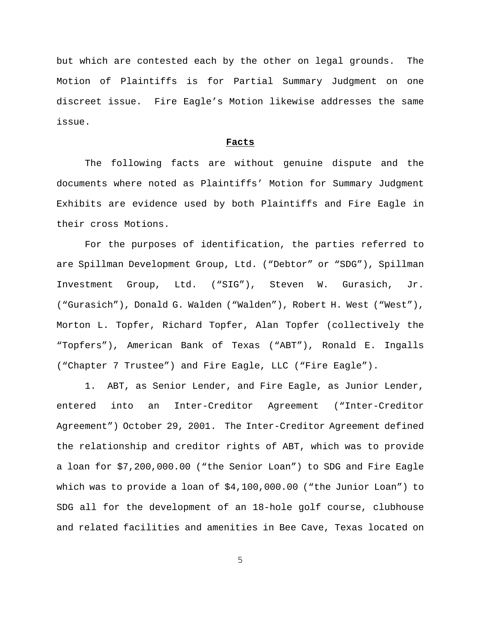but which are contested each by the other on legal grounds. The Motion of Plaintiffs is for Partial Summary Judgment on one discreet issue. Fire Eagle's Motion likewise addresses the same issue.

#### **Facts**

The following facts are without genuine dispute and the documents where noted as Plaintiffs' Motion for Summary Judgment Exhibits are evidence used by both Plaintiffs and Fire Eagle in their cross Motions.

For the purposes of identification, the parties referred to are Spillman Development Group, Ltd. ("Debtor" or "SDG"), Spillman Investment Group, Ltd. ("SIG"), Steven W. Gurasich, Jr. ("Gurasich"), Donald G. Walden ("Walden"), Robert H. West ("West"), Morton L. Topfer, Richard Topfer, Alan Topfer (collectively the "Topfers"), American Bank of Texas ("ABT"), Ronald E. Ingalls ("Chapter 7 Trustee") and Fire Eagle, LLC ("Fire Eagle").

1. ABT, as Senior Lender, and Fire Eagle, as Junior Lender, entered into an Inter-Creditor Agreement ("Inter-Creditor Agreement") October 29, 2001. The Inter-Creditor Agreement defined the relationship and creditor rights of ABT, which was to provide a loan for \$7,200,000.00 ("the Senior Loan") to SDG and Fire Eagle which was to provide a loan of \$4,100,000.00 ("the Junior Loan") to SDG all for the development of an 18-hole golf course, clubhouse and related facilities and amenities in Bee Cave, Texas located on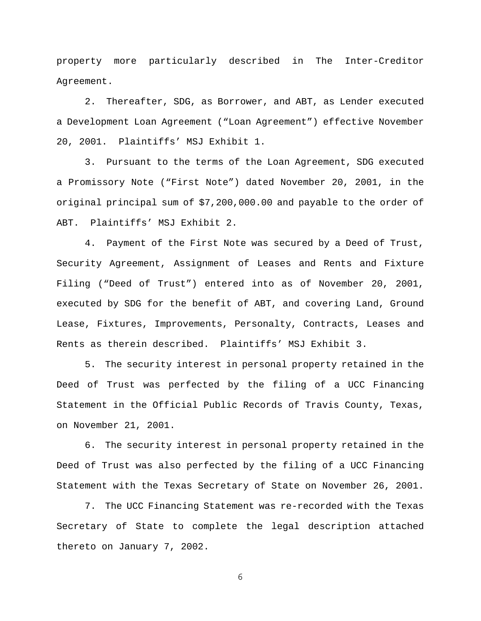property more particularly described in The Inter-Creditor Agreement.

2. Thereafter, SDG, as Borrower, and ABT, as Lender executed a Development Loan Agreement ("Loan Agreement") effective November 20, 2001. Plaintiffs' MSJ Exhibit 1.

3. Pursuant to the terms of the Loan Agreement, SDG executed a Promissory Note ("First Note") dated November 20, 2001, in the original principal sum of \$7,200,000.00 and payable to the order of ABT. Plaintiffs' MSJ Exhibit 2.

4. Payment of the First Note was secured by a Deed of Trust, Security Agreement, Assignment of Leases and Rents and Fixture Filing ("Deed of Trust") entered into as of November 20, 2001, executed by SDG for the benefit of ABT, and covering Land, Ground Lease, Fixtures, Improvements, Personalty, Contracts, Leases and Rents as therein described. Plaintiffs' MSJ Exhibit 3.

5. The security interest in personal property retained in the Deed of Trust was perfected by the filing of a UCC Financing Statement in the Official Public Records of Travis County, Texas, on November 21, 2001.

6. The security interest in personal property retained in the Deed of Trust was also perfected by the filing of a UCC Financing Statement with the Texas Secretary of State on November 26, 2001.

7. The UCC Financing Statement was re-recorded with the Texas Secretary of State to complete the legal description attached thereto on January 7, 2002.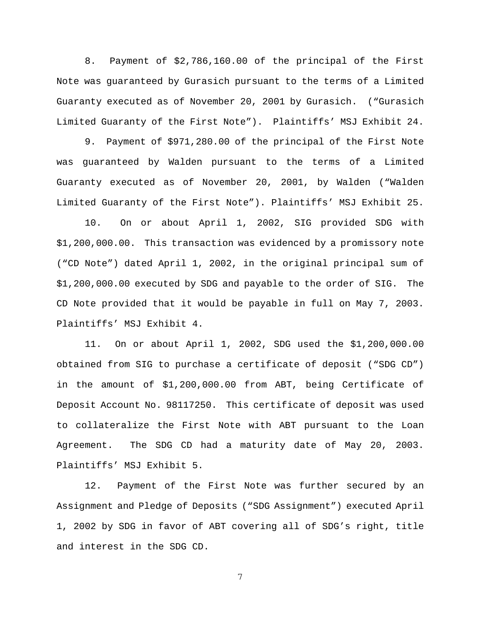8. Payment of \$2,786,160.00 of the principal of the First Note was guaranteed by Gurasich pursuant to the terms of a Limited Guaranty executed as of November 20, 2001 by Gurasich. ("Gurasich Limited Guaranty of the First Note"). Plaintiffs' MSJ Exhibit 24.

9. Payment of \$971,280.00 of the principal of the First Note was guaranteed by Walden pursuant to the terms of a Limited Guaranty executed as of November 20, 2001, by Walden ("Walden Limited Guaranty of the First Note"). Plaintiffs' MSJ Exhibit 25.

10. On or about April 1, 2002, SIG provided SDG with \$1,200,000.00. This transaction was evidenced by a promissory note ("CD Note") dated April 1, 2002, in the original principal sum of \$1,200,000.00 executed by SDG and payable to the order of SIG. The CD Note provided that it would be payable in full on May 7, 2003. Plaintiffs' MSJ Exhibit 4.

11. On or about April 1, 2002, SDG used the \$1,200,000.00 obtained from SIG to purchase a certificate of deposit ("SDG CD") in the amount of \$1,200,000.00 from ABT, being Certificate of Deposit Account No. 98117250. This certificate of deposit was used to collateralize the First Note with ABT pursuant to the Loan Agreement. The SDG CD had a maturity date of May 20, 2003. Plaintiffs' MSJ Exhibit 5.

12. Payment of the First Note was further secured by an Assignment and Pledge of Deposits ("SDG Assignment") executed April 1, 2002 by SDG in favor of ABT covering all of SDG's right, title and interest in the SDG CD.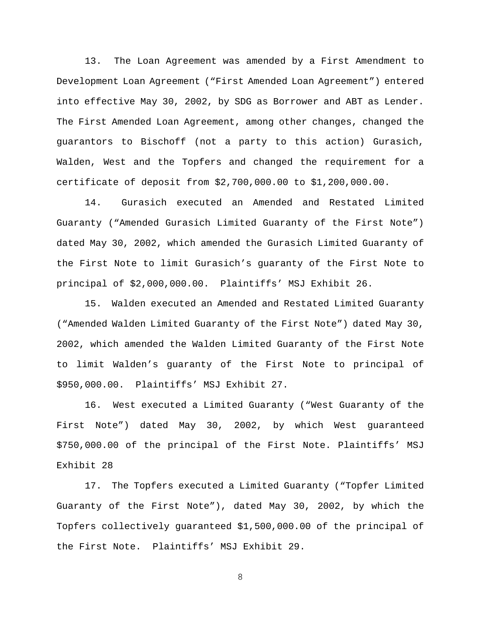13. The Loan Agreement was amended by a First Amendment to Development Loan Agreement ("First Amended Loan Agreement") entered into effective May 30, 2002, by SDG as Borrower and ABT as Lender. The First Amended Loan Agreement, among other changes, changed the guarantors to Bischoff (not a party to this action) Gurasich, Walden, West and the Topfers and changed the requirement for a certificate of deposit from \$2,700,000.00 to \$1,200,000.00.

14. Gurasich executed an Amended and Restated Limited Guaranty ("Amended Gurasich Limited Guaranty of the First Note") dated May 30, 2002, which amended the Gurasich Limited Guaranty of the First Note to limit Gurasich's guaranty of the First Note to principal of \$2,000,000.00. Plaintiffs' MSJ Exhibit 26.

15. Walden executed an Amended and Restated Limited Guaranty ("Amended Walden Limited Guaranty of the First Note") dated May 30, 2002, which amended the Walden Limited Guaranty of the First Note to limit Walden's guaranty of the First Note to principal of \$950,000.00. Plaintiffs' MSJ Exhibit 27.

16. West executed a Limited Guaranty ("West Guaranty of the First Note") dated May 30, 2002, by which West guaranteed \$750,000.00 of the principal of the First Note. Plaintiffs' MSJ Exhibit 28

17. The Topfers executed a Limited Guaranty ("Topfer Limited Guaranty of the First Note"), dated May 30, 2002, by which the Topfers collectively guaranteed \$1,500,000.00 of the principal of the First Note. Plaintiffs' MSJ Exhibit 29.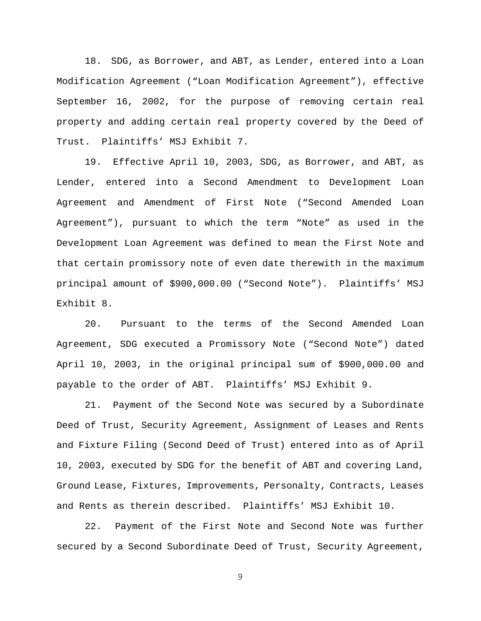18. SDG, as Borrower, and ABT, as Lender, entered into a Loan Modification Agreement ("Loan Modification Agreement"), effective September 16, 2002, for the purpose of removing certain real property and adding certain real property covered by the Deed of Trust. Plaintiffs' MSJ Exhibit 7.

19. Effective April 10, 2003, SDG, as Borrower, and ABT, as Lender, entered into a Second Amendment to Development Loan Agreement and Amendment of First Note ("Second Amended Loan Agreement"), pursuant to which the term "Note" as used in the Development Loan Agreement was defined to mean the First Note and that certain promissory note of even date therewith in the maximum principal amount of \$900,000.00 ("Second Note"). Plaintiffs' MSJ Exhibit 8.

20. Pursuant to the terms of the Second Amended Loan Agreement, SDG executed a Promissory Note ("Second Note") dated April 10, 2003, in the original principal sum of \$900,000.00 and payable to the order of ABT. Plaintiffs' MSJ Exhibit 9.

21. Payment of the Second Note was secured by a Subordinate Deed of Trust, Security Agreement, Assignment of Leases and Rents and Fixture Filing (Second Deed of Trust) entered into as of April 10, 2003, executed by SDG for the benefit of ABT and covering Land, Ground Lease, Fixtures, Improvements, Personalty, Contracts, Leases and Rents as therein described. Plaintiffs' MSJ Exhibit 10.

22. Payment of the First Note and Second Note was further secured by a Second Subordinate Deed of Trust, Security Agreement,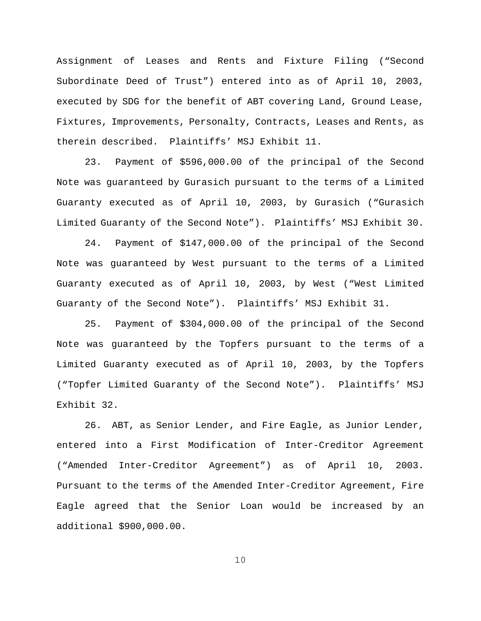Assignment of Leases and Rents and Fixture Filing ("Second Subordinate Deed of Trust") entered into as of April 10, 2003, executed by SDG for the benefit of ABT covering Land, Ground Lease, Fixtures, Improvements, Personalty, Contracts, Leases and Rents, as therein described. Plaintiffs' MSJ Exhibit 11.

23. Payment of \$596,000.00 of the principal of the Second Note was guaranteed by Gurasich pursuant to the terms of a Limited Guaranty executed as of April 10, 2003, by Gurasich ("Gurasich Limited Guaranty of the Second Note"). Plaintiffs' MSJ Exhibit 30.

24. Payment of \$147,000.00 of the principal of the Second Note was guaranteed by West pursuant to the terms of a Limited Guaranty executed as of April 10, 2003, by West ("West Limited Guaranty of the Second Note"). Plaintiffs' MSJ Exhibit 31.

25. Payment of \$304,000.00 of the principal of the Second Note was guaranteed by the Topfers pursuant to the terms of a Limited Guaranty executed as of April 10, 2003, by the Topfers ("Topfer Limited Guaranty of the Second Note"). Plaintiffs' MSJ Exhibit 32.

26. ABT, as Senior Lender, and Fire Eagle, as Junior Lender, entered into a First Modification of Inter-Creditor Agreement ("Amended Inter-Creditor Agreement") as of April 10, 2003. Pursuant to the terms of the Amended Inter-Creditor Agreement, Fire Eagle agreed that the Senior Loan would be increased by an additional \$900,000.00.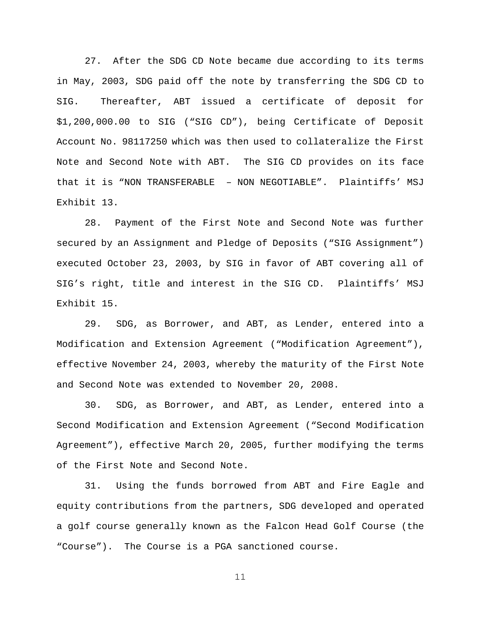27. After the SDG CD Note became due according to its terms in May, 2003, SDG paid off the note by transferring the SDG CD to SIG. Thereafter, ABT issued a certificate of deposit for \$1,200,000.00 to SIG ("SIG CD"), being Certificate of Deposit Account No. 98117250 which was then used to collateralize the First Note and Second Note with ABT. The SIG CD provides on its face that it is "NON TRANSFERABLE – NON NEGOTIABLE". Plaintiffs' MSJ Exhibit 13.

28. Payment of the First Note and Second Note was further secured by an Assignment and Pledge of Deposits ("SIG Assignment") executed October 23, 2003, by SIG in favor of ABT covering all of SIG's right, title and interest in the SIG CD. Plaintiffs' MSJ Exhibit 15.

29. SDG, as Borrower, and ABT, as Lender, entered into a Modification and Extension Agreement ("Modification Agreement"), effective November 24, 2003, whereby the maturity of the First Note and Second Note was extended to November 20, 2008.

30. SDG, as Borrower, and ABT, as Lender, entered into a Second Modification and Extension Agreement ("Second Modification Agreement"), effective March 20, 2005, further modifying the terms of the First Note and Second Note.

31. Using the funds borrowed from ABT and Fire Eagle and equity contributions from the partners, SDG developed and operated a golf course generally known as the Falcon Head Golf Course (the "Course"). The Course is a PGA sanctioned course.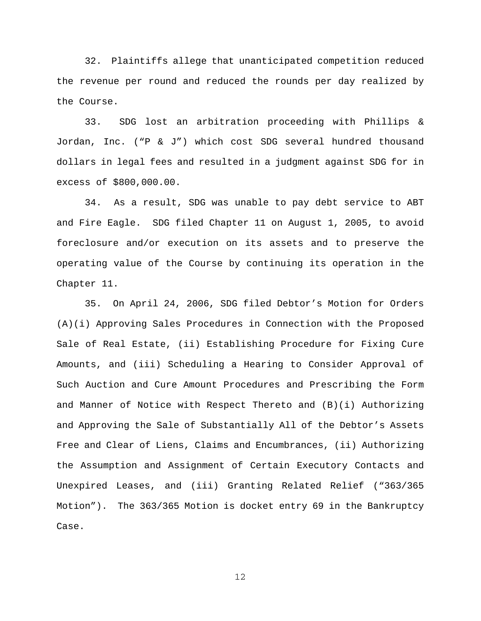32. Plaintiffs allege that unanticipated competition reduced the revenue per round and reduced the rounds per day realized by the Course.

33. SDG lost an arbitration proceeding with Phillips & Jordan, Inc. ("P & J") which cost SDG several hundred thousand dollars in legal fees and resulted in a judgment against SDG for in excess of \$800,000.00.

34. As a result, SDG was unable to pay debt service to ABT and Fire Eagle. SDG filed Chapter 11 on August 1, 2005, to avoid foreclosure and/or execution on its assets and to preserve the operating value of the Course by continuing its operation in the Chapter 11.

35. On April 24, 2006, SDG filed Debtor's Motion for Orders (A)(i) Approving Sales Procedures in Connection with the Proposed Sale of Real Estate, (ii) Establishing Procedure for Fixing Cure Amounts, and (iii) Scheduling a Hearing to Consider Approval of Such Auction and Cure Amount Procedures and Prescribing the Form and Manner of Notice with Respect Thereto and (B)(i) Authorizing and Approving the Sale of Substantially All of the Debtor's Assets Free and Clear of Liens, Claims and Encumbrances, (ii) Authorizing the Assumption and Assignment of Certain Executory Contacts and Unexpired Leases, and (iii) Granting Related Relief ("363/365 Motion"). The 363/365 Motion is docket entry 69 in the Bankruptcy Case.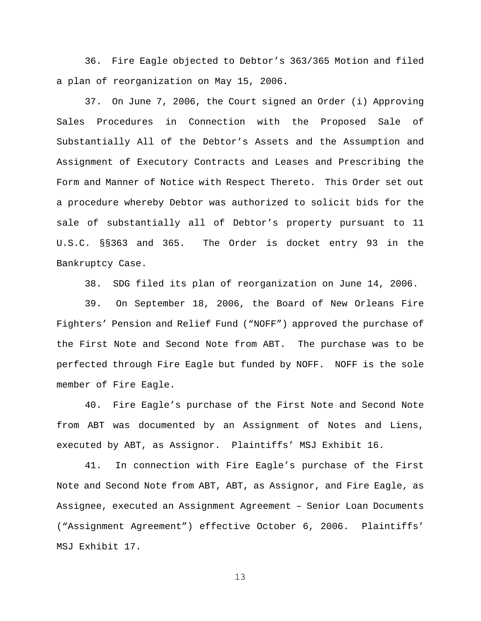36. Fire Eagle objected to Debtor's 363/365 Motion and filed a plan of reorganization on May 15, 2006.

37. On June 7, 2006, the Court signed an Order (i) Approving Sales Procedures in Connection with the Proposed Sale of Substantially All of the Debtor's Assets and the Assumption and Assignment of Executory Contracts and Leases and Prescribing the Form and Manner of Notice with Respect Thereto. This Order set out a procedure whereby Debtor was authorized to solicit bids for the sale of substantially all of Debtor's property pursuant to 11 U.S.C. §§363 and 365. The Order is docket entry 93 in the Bankruptcy Case.

38. SDG filed its plan of reorganization on June 14, 2006.

39. On September 18, 2006, the Board of New Orleans Fire Fighters' Pension and Relief Fund ("NOFF") approved the purchase of the First Note and Second Note from ABT. The purchase was to be perfected through Fire Eagle but funded by NOFF. NOFF is the sole member of Fire Eagle.

40. Fire Eagle's purchase of the First Note and Second Note from ABT was documented by an Assignment of Notes and Liens, executed by ABT, as Assignor. Plaintiffs' MSJ Exhibit 16.

41. In connection with Fire Eagle's purchase of the First Note and Second Note from ABT, ABT, as Assignor, and Fire Eagle, as Assignee, executed an Assignment Agreement – Senior Loan Documents ("Assignment Agreement") effective October 6, 2006. Plaintiffs' MSJ Exhibit 17.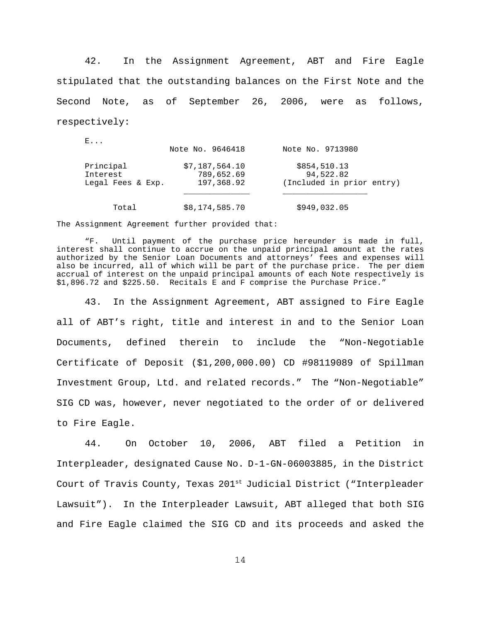42. In the Assignment Agreement, ABT and Fire Eagle stipulated that the outstanding balances on the First Note and the Second Note, as of September 26, 2006, were as follows, respectively:

| <b>.</b>                                   | Note No. 9646418                           | Note No. 9713980                                       |
|--------------------------------------------|--------------------------------------------|--------------------------------------------------------|
| Principal<br>Interest<br>Legal Fees & Exp. | \$7,187,564.10<br>789,652.69<br>197,368.92 | \$854,510.13<br>94,522.82<br>(Included in prior entry) |
| Total                                      | \$8,174,585.70                             | \$949,032.05                                           |

The Assignment Agreement further provided that:

 $\mathbf{E}$ 

"F. Until payment of the purchase price hereunder is made in full, interest shall continue to accrue on the unpaid principal amount at the rates authorized by the Senior Loan Documents and attorneys' fees and expenses will also be incurred, all of which will be part of the purchase price. The per diem accrual of interest on the unpaid principal amounts of each Note respectively is \$1,896.72 and \$225.50. Recitals E and F comprise the Purchase Price."

43. In the Assignment Agreement, ABT assigned to Fire Eagle all of ABT's right, title and interest in and to the Senior Loan Documents, defined therein to include the "Non-Negotiable Certificate of Deposit (\$1,200,000.00) CD #98119089 of Spillman Investment Group, Ltd. and related records." The "Non-Negotiable" SIG CD was, however, never negotiated to the order of or delivered to Fire Eagle.

44. On October 10, 2006, ABT filed a Petition in Interpleader, designated Cause No. D-1-GN-06003885, in the District Court of Travis County, Texas 201<sup>st</sup> Judicial District ("Interpleader Lawsuit"). In the Interpleader Lawsuit, ABT alleged that both SIG and Fire Eagle claimed the SIG CD and its proceeds and asked the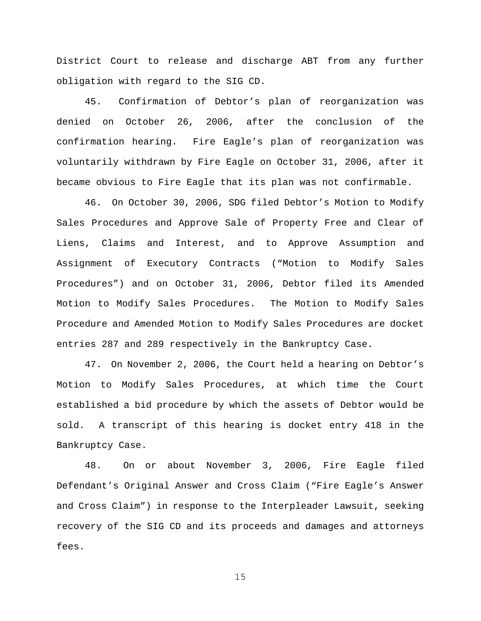District Court to release and discharge ABT from any further obligation with regard to the SIG CD.

45. Confirmation of Debtor's plan of reorganization was denied on October 26, 2006, after the conclusion of the confirmation hearing. Fire Eagle's plan of reorganization was voluntarily withdrawn by Fire Eagle on October 31, 2006, after it became obvious to Fire Eagle that its plan was not confirmable.

46. On October 30, 2006, SDG filed Debtor's Motion to Modify Sales Procedures and Approve Sale of Property Free and Clear of Liens, Claims and Interest, and to Approve Assumption and Assignment of Executory Contracts ("Motion to Modify Sales Procedures") and on October 31, 2006, Debtor filed its Amended Motion to Modify Sales Procedures. The Motion to Modify Sales Procedure and Amended Motion to Modify Sales Procedures are docket entries 287 and 289 respectively in the Bankruptcy Case.

47. On November 2, 2006, the Court held a hearing on Debtor's Motion to Modify Sales Procedures, at which time the Court established a bid procedure by which the assets of Debtor would be sold. A transcript of this hearing is docket entry 418 in the Bankruptcy Case.

48. On or about November 3, 2006, Fire Eagle filed Defendant's Original Answer and Cross Claim ("Fire Eagle's Answer and Cross Claim") in response to the Interpleader Lawsuit, seeking recovery of the SIG CD and its proceeds and damages and attorneys fees.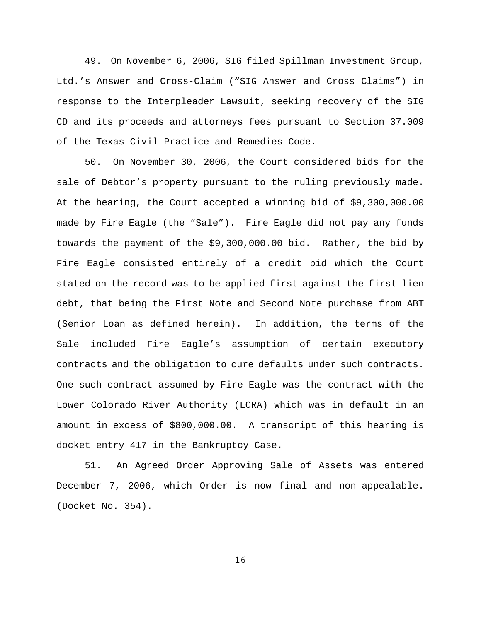49. On November 6, 2006, SIG filed Spillman Investment Group, Ltd.'s Answer and Cross-Claim ("SIG Answer and Cross Claims") in response to the Interpleader Lawsuit, seeking recovery of the SIG CD and its proceeds and attorneys fees pursuant to Section 37.009 of the Texas Civil Practice and Remedies Code.

50. On November 30, 2006, the Court considered bids for the sale of Debtor's property pursuant to the ruling previously made. At the hearing, the Court accepted a winning bid of \$9,300,000.00 made by Fire Eagle (the "Sale"). Fire Eagle did not pay any funds towards the payment of the \$9,300,000.00 bid. Rather, the bid by Fire Eagle consisted entirely of a credit bid which the Court stated on the record was to be applied first against the first lien debt, that being the First Note and Second Note purchase from ABT (Senior Loan as defined herein). In addition, the terms of the Sale included Fire Eagle's assumption of certain executory contracts and the obligation to cure defaults under such contracts. One such contract assumed by Fire Eagle was the contract with the Lower Colorado River Authority (LCRA) which was in default in an amount in excess of \$800,000.00. A transcript of this hearing is docket entry 417 in the Bankruptcy Case.

51. An Agreed Order Approving Sale of Assets was entered December 7, 2006, which Order is now final and non-appealable. (Docket No. 354).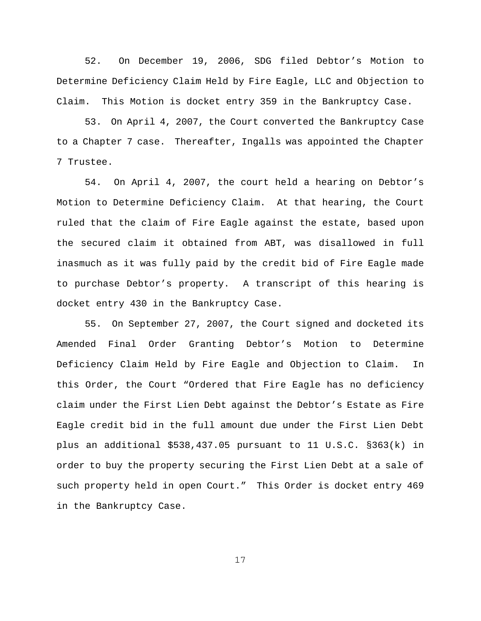52. On December 19, 2006, SDG filed Debtor's Motion to Determine Deficiency Claim Held by Fire Eagle, LLC and Objection to Claim. This Motion is docket entry 359 in the Bankruptcy Case.

53. On April 4, 2007, the Court converted the Bankruptcy Case to a Chapter 7 case. Thereafter, Ingalls was appointed the Chapter 7 Trustee.

54. On April 4, 2007, the court held a hearing on Debtor's Motion to Determine Deficiency Claim. At that hearing, the Court ruled that the claim of Fire Eagle against the estate, based upon the secured claim it obtained from ABT, was disallowed in full inasmuch as it was fully paid by the credit bid of Fire Eagle made to purchase Debtor's property. A transcript of this hearing is docket entry 430 in the Bankruptcy Case.

55. On September 27, 2007, the Court signed and docketed its Amended Final Order Granting Debtor's Motion to Determine Deficiency Claim Held by Fire Eagle and Objection to Claim. In this Order, the Court "Ordered that Fire Eagle has no deficiency claim under the First Lien Debt against the Debtor's Estate as Fire Eagle credit bid in the full amount due under the First Lien Debt plus an additional \$538,437.05 pursuant to 11 U.S.C. §363(k) in order to buy the property securing the First Lien Debt at a sale of such property held in open Court." This Order is docket entry 469 in the Bankruptcy Case.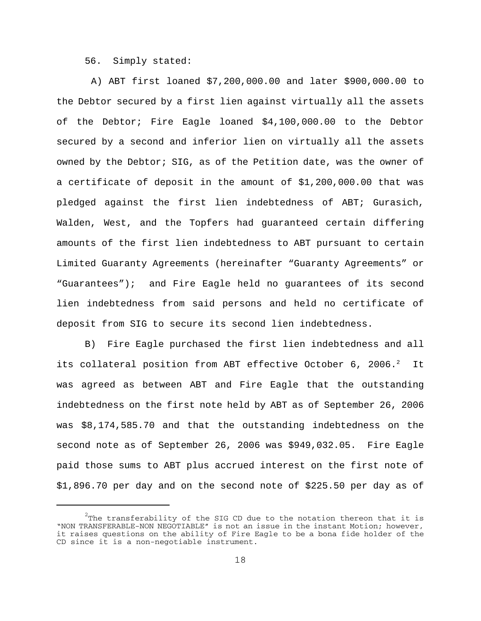56. Simply stated:

 A) ABT first loaned \$7,200,000.00 and later \$900,000.00 to the Debtor secured by a first lien against virtually all the assets of the Debtor; Fire Eagle loaned \$4,100,000.00 to the Debtor secured by a second and inferior lien on virtually all the assets owned by the Debtor; SIG, as of the Petition date, was the owner of a certificate of deposit in the amount of \$1,200,000.00 that was pledged against the first lien indebtedness of ABT; Gurasich, Walden, West, and the Topfers had guaranteed certain differing amounts of the first lien indebtedness to ABT pursuant to certain Limited Guaranty Agreements (hereinafter "Guaranty Agreements" or "Guarantees"); and Fire Eagle held no guarantees of its second lien indebtedness from said persons and held no certificate of deposit from SIG to secure its second lien indebtedness.

B) Fire Eagle purchased the first lien indebtedness and all its collateral position from ABT effective October 6, 2006. $^2$  It was agreed as between ABT and Fire Eagle that the outstanding indebtedness on the first note held by ABT as of September 26, 2006 was \$8,174,585.70 and that the outstanding indebtedness on the second note as of September 26, 2006 was \$949,032.05. Fire Eagle paid those sums to ABT plus accrued interest on the first note of \$1,896.70 per day and on the second note of \$225.50 per day as of

 $^2$ The transferability of the SIG CD due to the notation thereon that it is "NON TRANSFERABLE-NON NEGOTIABLE" is not an issue in the instant Motion; however, it raises questions on the ability of Fire Eagle to be a bona fide holder of the CD since it is a non-negotiable instrument.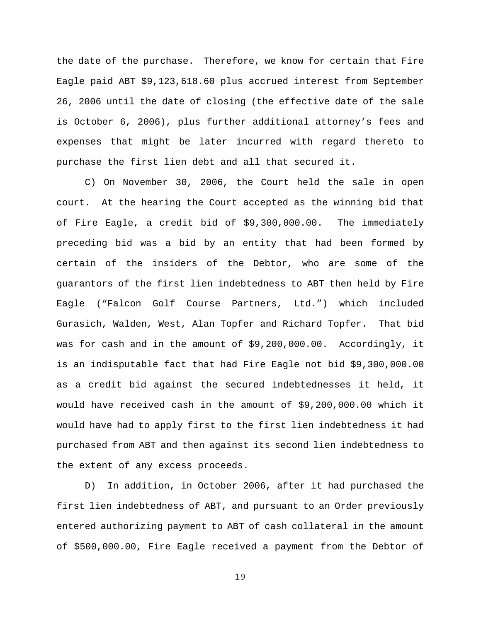the date of the purchase. Therefore, we know for certain that Fire Eagle paid ABT \$9,123,618.60 plus accrued interest from September 26, 2006 until the date of closing (the effective date of the sale is October 6, 2006), plus further additional attorney's fees and expenses that might be later incurred with regard thereto to purchase the first lien debt and all that secured it.

C) On November 30, 2006, the Court held the sale in open court. At the hearing the Court accepted as the winning bid that of Fire Eagle, a credit bid of \$9,300,000.00. The immediately preceding bid was a bid by an entity that had been formed by certain of the insiders of the Debtor, who are some of the guarantors of the first lien indebtedness to ABT then held by Fire Eagle ("Falcon Golf Course Partners, Ltd.") which included Gurasich, Walden, West, Alan Topfer and Richard Topfer. That bid was for cash and in the amount of \$9,200,000.00. Accordingly, it is an indisputable fact that had Fire Eagle not bid \$9,300,000.00 as a credit bid against the secured indebtednesses it held, it would have received cash in the amount of \$9,200,000.00 which it would have had to apply first to the first lien indebtedness it had purchased from ABT and then against its second lien indebtedness to the extent of any excess proceeds.

D) In addition, in October 2006, after it had purchased the first lien indebtedness of ABT, and pursuant to an Order previously entered authorizing payment to ABT of cash collateral in the amount of \$500,000.00, Fire Eagle received a payment from the Debtor of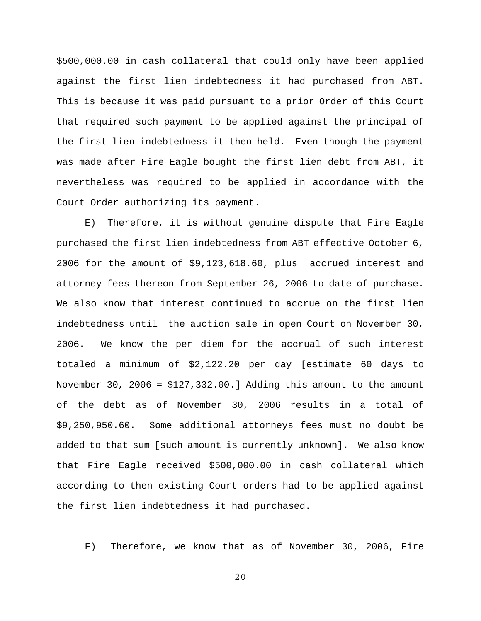\$500,000.00 in cash collateral that could only have been applied against the first lien indebtedness it had purchased from ABT. This is because it was paid pursuant to a prior Order of this Court that required such payment to be applied against the principal of the first lien indebtedness it then held. Even though the payment was made after Fire Eagle bought the first lien debt from ABT, it nevertheless was required to be applied in accordance with the Court Order authorizing its payment.

E) Therefore, it is without genuine dispute that Fire Eagle purchased the first lien indebtedness from ABT effective October 6, 2006 for the amount of \$9,123,618.60, plus accrued interest and attorney fees thereon from September 26, 2006 to date of purchase. We also know that interest continued to accrue on the first lien indebtedness until the auction sale in open Court on November 30, 2006. We know the per diem for the accrual of such interest totaled a minimum of \$2,122.20 per day [estimate 60 days to November 30, 2006 = \$127,332.00.] Adding this amount to the amount of the debt as of November 30, 2006 results in a total of \$9,250,950.60. Some additional attorneys fees must no doubt be added to that sum [such amount is currently unknown]. We also know that Fire Eagle received \$500,000.00 in cash collateral which according to then existing Court orders had to be applied against the first lien indebtedness it had purchased.

F) Therefore, we know that as of November 30, 2006, Fire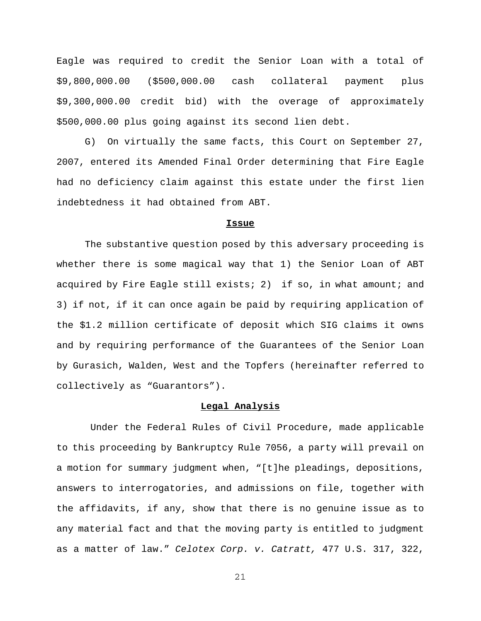Eagle was required to credit the Senior Loan with a total of \$9,800,000.00 (\$500,000.00 cash collateral payment plus \$9,300,000.00 credit bid) with the overage of approximately \$500,000.00 plus going against its second lien debt.

G) On virtually the same facts, this Court on September 27, 2007, entered its Amended Final Order determining that Fire Eagle had no deficiency claim against this estate under the first lien indebtedness it had obtained from ABT.

#### **Issue**

The substantive question posed by this adversary proceeding is whether there is some magical way that 1) the Senior Loan of ABT acquired by Fire Eagle still exists; 2) if so, in what amount; and 3) if not, if it can once again be paid by requiring application of the \$1.2 million certificate of deposit which SIG claims it owns and by requiring performance of the Guarantees of the Senior Loan by Gurasich, Walden, West and the Topfers (hereinafter referred to collectively as "Guarantors").

#### **Legal Analysis**

 Under the Federal Rules of Civil Procedure, made applicable to this proceeding by Bankruptcy Rule 7056, a party will prevail on a motion for summary judgment when, "[t]he pleadings, depositions, answers to interrogatories, and admissions on file, together with the affidavits, if any, show that there is no genuine issue as to any material fact and that the moving party is entitled to judgment as a matter of law." *Celotex Corp. v. Catratt,* 477 U.S. 317, 322,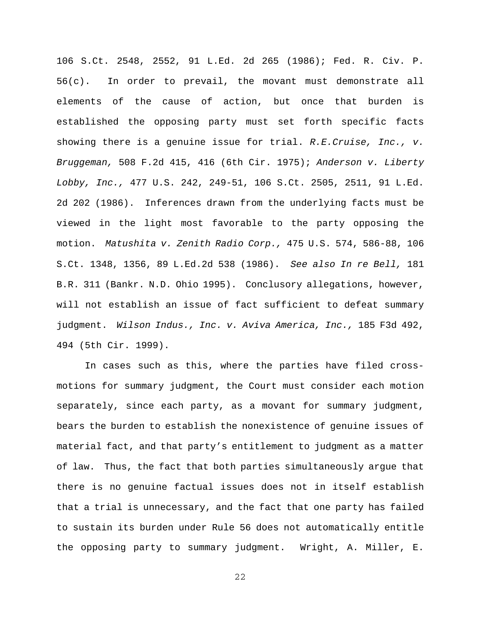106 S.Ct. 2548, 2552, 91 L.Ed. 2d 265 (1986); Fed. R. Civ. P. 56(c). In order to prevail, the movant must demonstrate all elements of the cause of action, but once that burden is established the opposing party must set forth specific facts showing there is a genuine issue for trial. *R.E.Cruise, Inc., v. Bruggeman,* 508 F.2d 415, 416 (6th Cir. 1975); *Anderson v. Liberty Lobby, Inc.,* 477 U.S. 242, 249-51, 106 S.Ct. 2505, 2511, 91 L.Ed. 2d 202 (1986). Inferences drawn from the underlying facts must be viewed in the light most favorable to the party opposing the motion. *Matushita v. Zenith Radio Corp.,* 475 U.S. 574, 586-88, 106 S.Ct. 1348, 1356, 89 L.Ed.2d 538 (1986). *See also In re Bell,* 181 B.R. 311 (Bankr. N.D. Ohio 1995). Conclusory allegations, however, will not establish an issue of fact sufficient to defeat summary judgment. *Wilson Indus., Inc. v. Aviva America, Inc.,* 185 F3d 492, 494 (5th Cir. 1999).

In cases such as this, where the parties have filed crossmotions for summary judgment, the Court must consider each motion separately, since each party, as a movant for summary judgment, bears the burden to establish the nonexistence of genuine issues of material fact, and that party's entitlement to judgment as a matter of law. Thus, the fact that both parties simultaneously argue that there is no genuine factual issues does not in itself establish that a trial is unnecessary, and the fact that one party has failed to sustain its burden under Rule 56 does not automatically entitle the opposing party to summary judgment. Wright, A. Miller, E.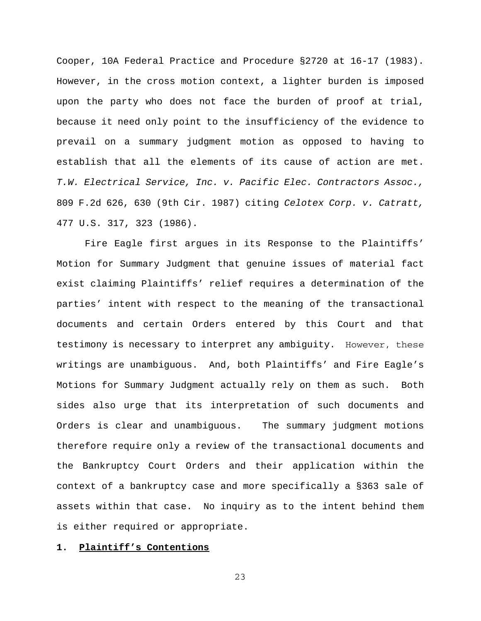Cooper, 10A Federal Practice and Procedure §2720 at 16-17 (1983). However, in the cross motion context, a lighter burden is imposed upon the party who does not face the burden of proof at trial, because it need only point to the insufficiency of the evidence to prevail on a summary judgment motion as opposed to having to establish that all the elements of its cause of action are met. *T.W. Electrical Service, Inc. v. Pacific Elec. Contractors Assoc.,* 809 F.2d 626, 630 (9th Cir. 1987) citing *Celotex Corp. v. Catratt,* 477 U.S. 317, 323 (1986).

Fire Eagle first argues in its Response to the Plaintiffs' Motion for Summary Judgment that genuine issues of material fact exist claiming Plaintiffs' relief requires a determination of the parties' intent with respect to the meaning of the transactional documents and certain Orders entered by this Court and that testimony is necessary to interpret any ambiguity. However, these writings are unambiguous. And, both Plaintiffs' and Fire Eagle's Motions for Summary Judgment actually rely on them as such. Both sides also urge that its interpretation of such documents and Orders is clear and unambiguous. The summary judgment motions therefore require only a review of the transactional documents and the Bankruptcy Court Orders and their application within the context of a bankruptcy case and more specifically a §363 sale of assets within that case. No inquiry as to the intent behind them is either required or appropriate.

## **1. Plaintiff's Contentions**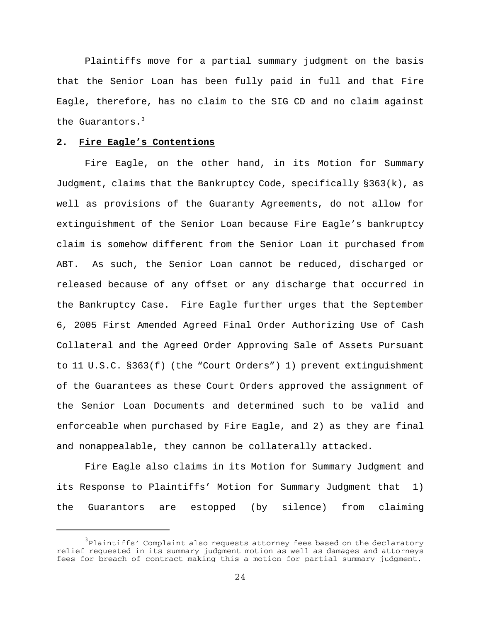Plaintiffs move for a partial summary judgment on the basis that the Senior Loan has been fully paid in full and that Fire Eagle, therefore, has no claim to the SIG CD and no claim against the Guarantors. $3$ 

### **2. Fire Eagle's Contentions**

Fire Eagle, on the other hand, in its Motion for Summary Judgment, claims that the Bankruptcy Code, specifically §363(k), as well as provisions of the Guaranty Agreements, do not allow for extinguishment of the Senior Loan because Fire Eagle's bankruptcy claim is somehow different from the Senior Loan it purchased from ABT. As such, the Senior Loan cannot be reduced, discharged or released because of any offset or any discharge that occurred in the Bankruptcy Case. Fire Eagle further urges that the September 6, 2005 First Amended Agreed Final Order Authorizing Use of Cash Collateral and the Agreed Order Approving Sale of Assets Pursuant to 11 U.S.C. §363(f) (the "Court Orders") 1) prevent extinguishment of the Guarantees as these Court Orders approved the assignment of the Senior Loan Documents and determined such to be valid and enforceable when purchased by Fire Eagle, and 2) as they are final and nonappealable, they cannon be collaterally attacked.

Fire Eagle also claims in its Motion for Summary Judgment and its Response to Plaintiffs' Motion for Summary Judgment that 1) the Guarantors are estopped (by silence) from claiming

 $^3$ Plaintiffs' Complaint also requests attorney fees based on the declaratory relief requested in its summary judgment motion as well as damages and attorneys fees for breach of contract making this a motion for partial summary judgment.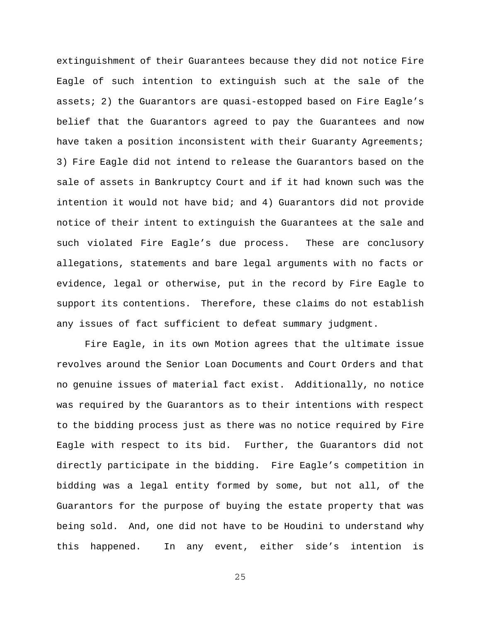extinguishment of their Guarantees because they did not notice Fire Eagle of such intention to extinguish such at the sale of the assets; 2) the Guarantors are quasi-estopped based on Fire Eagle's belief that the Guarantors agreed to pay the Guarantees and now have taken a position inconsistent with their Guaranty Agreements; 3) Fire Eagle did not intend to release the Guarantors based on the sale of assets in Bankruptcy Court and if it had known such was the intention it would not have bid; and 4) Guarantors did not provide notice of their intent to extinguish the Guarantees at the sale and such violated Fire Eagle's due process. These are conclusory allegations, statements and bare legal arguments with no facts or evidence, legal or otherwise, put in the record by Fire Eagle to support its contentions. Therefore, these claims do not establish any issues of fact sufficient to defeat summary judgment.

Fire Eagle, in its own Motion agrees that the ultimate issue revolves around the Senior Loan Documents and Court Orders and that no genuine issues of material fact exist. Additionally, no notice was required by the Guarantors as to their intentions with respect to the bidding process just as there was no notice required by Fire Eagle with respect to its bid. Further, the Guarantors did not directly participate in the bidding. Fire Eagle's competition in bidding was a legal entity formed by some, but not all, of the Guarantors for the purpose of buying the estate property that was being sold. And, one did not have to be Houdini to understand why this happened. In any event, either side's intention is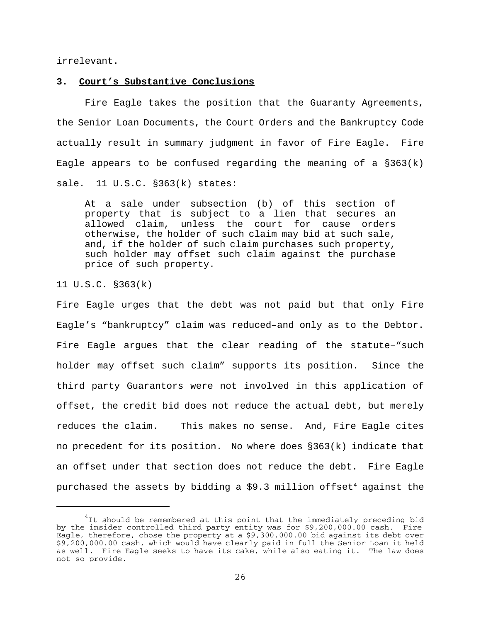irrelevant.

## **3. Court's Substantive Conclusions**

Fire Eagle takes the position that the Guaranty Agreements, the Senior Loan Documents, the Court Orders and the Bankruptcy Code actually result in summary judgment in favor of Fire Eagle. Fire Eagle appears to be confused regarding the meaning of a  $\S 363(k)$ sale. 11 U.S.C. §363(k) states:

At a sale under subsection (b) of this section of property that is subject to a lien that secures an allowed claim, unless the court for cause orders otherwise, the holder of such claim may bid at such sale, and, if the holder of such claim purchases such property, such holder may offset such claim against the purchase price of such property.

11 U.S.C. §363(k)

Fire Eagle urges that the debt was not paid but that only Fire Eagle's "bankruptcy" claim was reduced–and only as to the Debtor. Fire Eagle argues that the clear reading of the statute–"such holder may offset such claim" supports its position. Since the third party Guarantors were not involved in this application of offset, the credit bid does not reduce the actual debt, but merely reduces the claim. This makes no sense. And, Fire Eagle cites no precedent for its position. No where does §363(k) indicate that an offset under that section does not reduce the debt. Fire Eagle purchased the assets by bidding a  $$9.3$  million offset<sup>4</sup> against the

 $^{4}$ It should be remembered at this point that the immediately preceding bid by the insider controlled third party entity was for \$9,200,000.00 cash. Fire Eagle, therefore, chose the property at a \$9,300,000.00 bid against its debt over \$9,200,000.00 cash, which would have clearly paid in full the Senior Loan it held as well. Fire Eagle seeks to have its cake, while also eating it. The law does not so provide.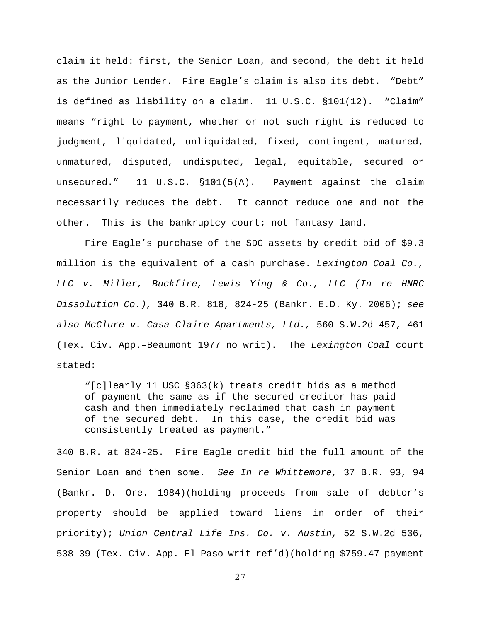claim it held: first, the Senior Loan, and second, the debt it held as the Junior Lender. Fire Eagle's claim is also its debt. "Debt" is defined as liability on a claim. 11 U.S.C. §101(12). "Claim" means "right to payment, whether or not such right is reduced to judgment, liquidated, unliquidated, fixed, contingent, matured, unmatured, disputed, undisputed, legal, equitable, secured or unsecured." 11 U.S.C. §101(5(A). Payment against the claim necessarily reduces the debt. It cannot reduce one and not the other. This is the bankruptcy court; not fantasy land.

Fire Eagle's purchase of the SDG assets by credit bid of \$9.3 million is the equivalent of a cash purchase. *Lexington Coal Co., LLC v. Miller, Buckfire, Lewis Ying & Co., LLC (In re HNRC Dissolution Co.),* 340 B.R. 818, 824-25 (Bankr. E.D. Ky. 2006); *see also McClure v. Casa Claire Apartments, Ltd.,* 560 S.W.2d 457, 461 (Tex. Civ. App.–Beaumont 1977 no writ). The *Lexington Coal* court stated:

"[c]learly 11 USC §363(k) treats credit bids as a method of payment–the same as if the secured creditor has paid cash and then immediately reclaimed that cash in payment of the secured debt. In this case, the credit bid was consistently treated as payment."

340 B.R. at 824-25. Fire Eagle credit bid the full amount of the Senior Loan and then some. *See In re Whittemore,* 37 B.R. 93, 94 (Bankr. D. Ore. 1984)(holding proceeds from sale of debtor's property should be applied toward liens in order of their priority); *Union Central Life Ins. Co. v. Austin,* 52 S.W.2d 536, 538-39 (Tex. Civ. App.–El Paso writ ref'd)(holding \$759.47 payment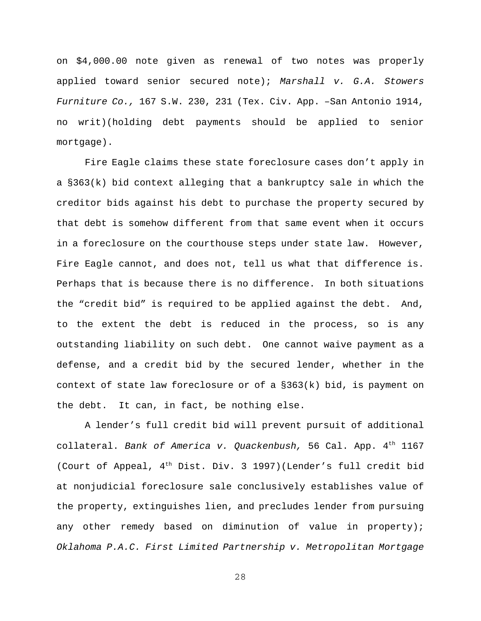on \$4,000.00 note given as renewal of two notes was properly applied toward senior secured note); *Marshall v. G.A. Stowers Furniture Co.,* 167 S.W. 230, 231 (Tex. Civ. App. –San Antonio 1914, no writ)(holding debt payments should be applied to senior mortgage).

Fire Eagle claims these state foreclosure cases don't apply in a §363(k) bid context alleging that a bankruptcy sale in which the creditor bids against his debt to purchase the property secured by that debt is somehow different from that same event when it occurs in a foreclosure on the courthouse steps under state law. However, Fire Eagle cannot, and does not, tell us what that difference is. Perhaps that is because there is no difference. In both situations the "credit bid" is required to be applied against the debt. And, to the extent the debt is reduced in the process, so is any outstanding liability on such debt. One cannot waive payment as a defense, and a credit bid by the secured lender, whether in the context of state law foreclosure or of a  $\S 363(k)$  bid, is payment on the debt. It can, in fact, be nothing else.

A lender's full credit bid will prevent pursuit of additional collateral. *Bank of America v. Quackenbush,* 56 Cal. App. 4th 1167 (Court of Appeal,  $4<sup>th</sup>$  Dist. Div. 3 1997)(Lender's full credit bid at nonjudicial foreclosure sale conclusively establishes value of the property, extinguishes lien, and precludes lender from pursuing any other remedy based on diminution of value in property); *Oklahoma P.A.C. First Limited Partnership v. Metropolitan Mortgage*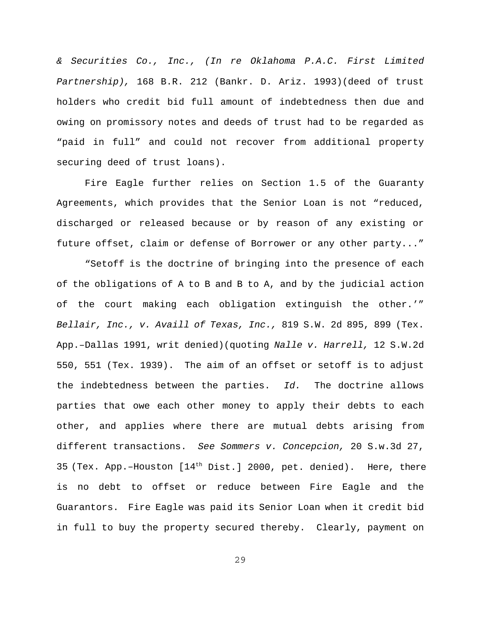*& Securities Co., Inc., (In re Oklahoma P.A.C. First Limited Partnership),* 168 B.R. 212 (Bankr. D. Ariz. 1993)(deed of trust holders who credit bid full amount of indebtedness then due and owing on promissory notes and deeds of trust had to be regarded as "paid in full" and could not recover from additional property securing deed of trust loans).

Fire Eagle further relies on Section 1.5 of the Guaranty Agreements, which provides that the Senior Loan is not "reduced, discharged or released because or by reason of any existing or future offset, claim or defense of Borrower or any other party..."

"Setoff is the doctrine of bringing into the presence of each of the obligations of A to B and B to A, and by the judicial action of the court making each obligation extinguish the other.'" *Bellair, Inc., v. Availl of Texas, Inc.,* 819 S.W. 2d 895, 899 (Tex. App.–Dallas 1991, writ denied)(quoting *Nalle v. Harrell,* 12 S.W.2d 550, 551 (Tex. 1939). The aim of an offset or setoff is to adjust the indebtedness between the parties. *Id.* The doctrine allows parties that owe each other money to apply their debts to each other, and applies where there are mutual debts arising from different transactions. *See Sommers v. Concepcion,* 20 S.w.3d 27, 35 (Tex. App.–Houston [14th Dist.] 2000, pet. denied). Here, there is no debt to offset or reduce between Fire Eagle and the Guarantors. Fire Eagle was paid its Senior Loan when it credit bid in full to buy the property secured thereby. Clearly, payment on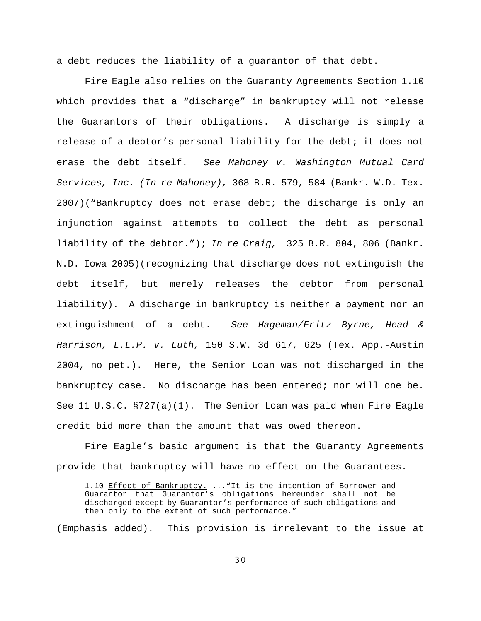a debt reduces the liability of a guarantor of that debt.

Fire Eagle also relies on the Guaranty Agreements Section 1.10 which provides that a "discharge" in bankruptcy will not release the Guarantors of their obligations. A discharge is simply a release of a debtor's personal liability for the debt; it does not erase the debt itself. *See Mahoney v. Washington Mutual Card Services, Inc. (In re Mahoney),* 368 B.R. 579, 584 (Bankr. W.D. Tex. 2007)("Bankruptcy does not erase debt; the discharge is only an injunction against attempts to collect the debt as personal liability of the debtor."); *In re Craig,* 325 B.R. 804, 806 (Bankr. N.D. Iowa 2005)(recognizing that discharge does not extinguish the debt itself, but merely releases the debtor from personal liability). A discharge in bankruptcy is neither a payment nor an extinguishment of a debt. *See Hageman/Fritz Byrne, Head & Harrison, L.L.P. v. Luth,* 150 S.W. 3d 617, 625 (Tex. App.-Austin 2004, no pet.). Here, the Senior Loan was not discharged in the bankruptcy case. No discharge has been entered; nor will one be. See 11 U.S.C. §727(a)(1). The Senior Loan was paid when Fire Eagle credit bid more than the amount that was owed thereon.

Fire Eagle's basic argument is that the Guaranty Agreements provide that bankruptcy will have no effect on the Guarantees.

1.10 Effect of Bankruptcy. ..."It is the intention of Borrower and Guarantor that Guarantor's obligations hereunder shall not be discharged except by Guarantor's performance of such obligations and then only to the extent of such performance."

(Emphasis added). This provision is irrelevant to the issue at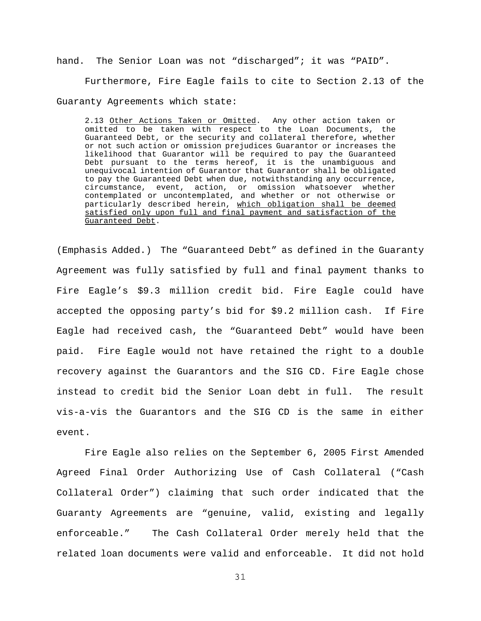hand. The Senior Loan was not "discharged"; it was "PAID".

Furthermore, Fire Eagle fails to cite to Section 2.13 of the Guaranty Agreements which state:

2.13 Other Actions Taken or Omitted. Any other action taken or omitted to be taken with respect to the Loan Documents, the Guaranteed Debt, or the security and collateral therefore, whether or not such action or omission prejudices Guarantor or increases the likelihood that Guarantor will be required to pay the Guaranteed Debt pursuant to the terms hereof, it is the unambiguous and unequivocal intention of Guarantor that Guarantor shall be obligated to pay the Guaranteed Debt when due, notwithstanding any occurrence, circumstance, event, action, or omission whatsoever whether contemplated or uncontemplated, and whether or not otherwise or particularly described herein, which obligation shall be deemed satisfied only upon full and final payment and satisfaction of the Guaranteed Debt.

(Emphasis Added.) The "Guaranteed Debt" as defined in the Guaranty Agreement was fully satisfied by full and final payment thanks to Fire Eagle's \$9.3 million credit bid. Fire Eagle could have accepted the opposing party's bid for \$9.2 million cash. If Fire Eagle had received cash, the "Guaranteed Debt" would have been paid. Fire Eagle would not have retained the right to a double recovery against the Guarantors and the SIG CD. Fire Eagle chose instead to credit bid the Senior Loan debt in full. The result vis-a-vis the Guarantors and the SIG CD is the same in either event.

Fire Eagle also relies on the September 6, 2005 First Amended Agreed Final Order Authorizing Use of Cash Collateral ("Cash Collateral Order") claiming that such order indicated that the Guaranty Agreements are "genuine, valid, existing and legally enforceable." The Cash Collateral Order merely held that the related loan documents were valid and enforceable. It did not hold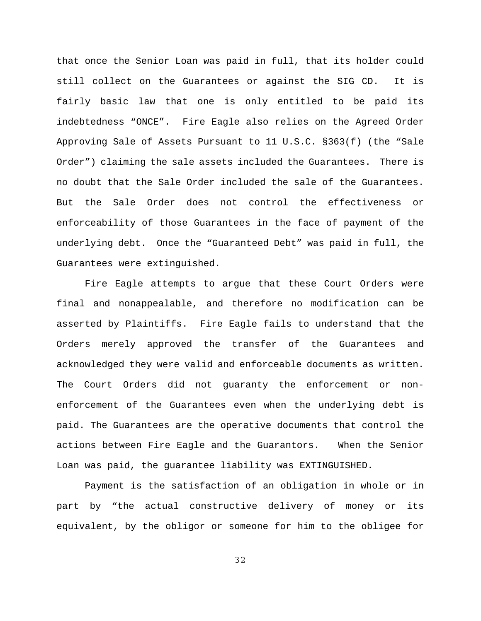that once the Senior Loan was paid in full, that its holder could still collect on the Guarantees or against the SIG CD. It is fairly basic law that one is only entitled to be paid its indebtedness "ONCE". Fire Eagle also relies on the Agreed Order Approving Sale of Assets Pursuant to 11 U.S.C. §363(f) (the "Sale Order") claiming the sale assets included the Guarantees. There is no doubt that the Sale Order included the sale of the Guarantees. But the Sale Order does not control the effectiveness or enforceability of those Guarantees in the face of payment of the underlying debt. Once the "Guaranteed Debt" was paid in full, the Guarantees were extinguished.

Fire Eagle attempts to argue that these Court Orders were final and nonappealable, and therefore no modification can be asserted by Plaintiffs. Fire Eagle fails to understand that the Orders merely approved the transfer of the Guarantees and acknowledged they were valid and enforceable documents as written. The Court Orders did not guaranty the enforcement or nonenforcement of the Guarantees even when the underlying debt is paid. The Guarantees are the operative documents that control the actions between Fire Eagle and the Guarantors. When the Senior Loan was paid, the guarantee liability was EXTINGUISHED.

Payment is the satisfaction of an obligation in whole or in part by "the actual constructive delivery of money or its equivalent, by the obligor or someone for him to the obligee for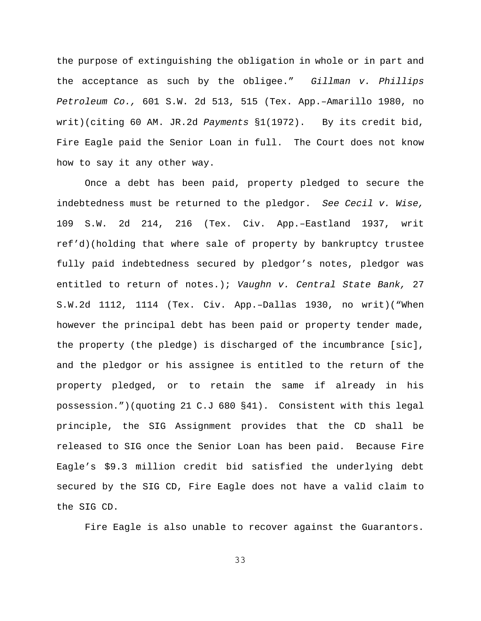the purpose of extinguishing the obligation in whole or in part and the acceptance as such by the obligee." *Gillman v. Phillips Petroleum Co.,* 601 S.W. 2d 513, 515 (Tex. App.–Amarillo 1980, no writ)(citing 60 AM. JR.2d *Payments* §1(1972). By its credit bid, Fire Eagle paid the Senior Loan in full. The Court does not know how to say it any other way.

Once a debt has been paid, property pledged to secure the indebtedness must be returned to the pledgor. *See Cecil v. Wise,* 109 S.W. 2d 214, 216 (Tex. Civ. App.–Eastland 1937, writ ref'd)(holding that where sale of property by bankruptcy trustee fully paid indebtedness secured by pledgor's notes, pledgor was entitled to return of notes.); *Vaughn v. Central State Bank,* 27 S.W.2d 1112, 1114 (Tex. Civ. App.–Dallas 1930, no writ)("When however the principal debt has been paid or property tender made, the property (the pledge) is discharged of the incumbrance [sic], and the pledgor or his assignee is entitled to the return of the property pledged, or to retain the same if already in his possession.")(quoting 21 C.J 680 §41). Consistent with this legal principle, the SIG Assignment provides that the CD shall be released to SIG once the Senior Loan has been paid. Because Fire Eagle's \$9.3 million credit bid satisfied the underlying debt secured by the SIG CD, Fire Eagle does not have a valid claim to the SIG CD.

Fire Eagle is also unable to recover against the Guarantors.